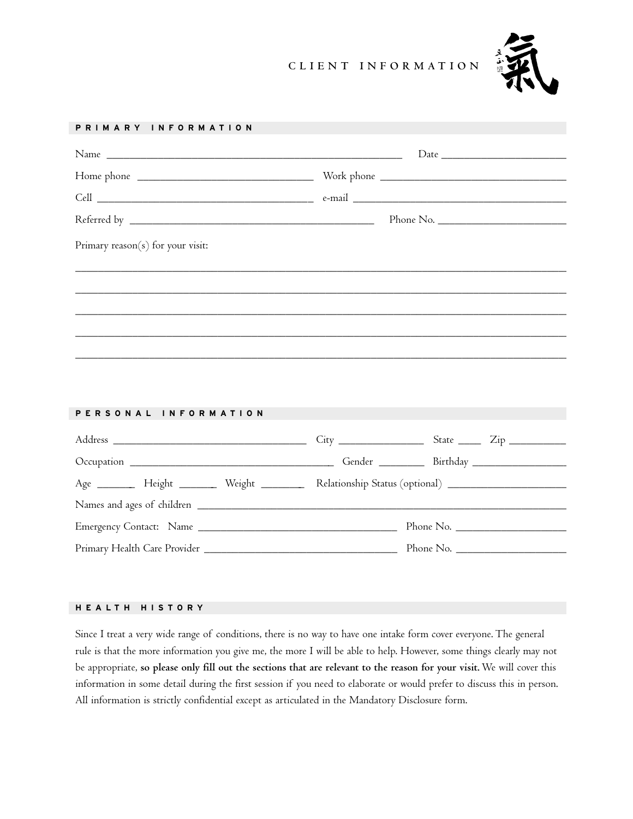## **CLIENT INFORMATION**



# **PRIMARY INFORMATION** Name \_\_\_\_\_\_\_\_\_\_\_\_\_\_\_\_\_\_\_\_\_\_\_\_\_\_\_\_\_\_\_\_\_\_\_\_\_\_\_\_\_\_\_\_\_\_\_\_\_\_\_\_ Date \_\_\_\_\_\_\_\_\_\_\_\_\_\_\_\_\_\_\_\_\_\_ Home phone \_\_\_\_\_\_\_\_\_\_\_\_\_\_\_\_\_\_\_\_\_\_\_\_\_\_\_\_\_\_\_ Work phone \_\_\_\_\_\_\_\_\_\_\_\_\_\_\_\_\_\_\_\_\_\_\_\_\_\_\_\_\_\_\_\_\_ Cell \_\_\_\_\_\_\_\_\_\_\_\_\_\_\_\_\_\_\_\_\_\_\_\_\_\_\_\_\_\_\_\_\_\_\_\_\_\_ e-mail \_\_\_\_\_\_\_\_\_\_\_\_\_\_\_\_\_\_\_\_\_\_\_\_\_\_\_\_\_\_\_\_\_\_\_\_\_\_ Referred by \_\_\_\_\_\_\_\_\_\_\_\_\_\_\_\_\_\_\_\_\_\_\_\_\_\_\_\_\_\_\_\_\_\_\_\_\_\_\_\_\_\_\_ Phone No. \_\_\_\_\_\_\_\_\_\_\_\_\_\_\_\_\_\_\_\_\_\_\_\_ Primary reason(s) for your visit: \_\_\_\_\_\_\_\_\_\_\_\_\_\_\_\_\_\_\_\_\_\_\_\_\_\_\_\_\_\_\_\_\_\_\_\_\_\_\_\_\_\_\_\_\_\_\_\_\_\_\_\_\_\_\_\_\_\_\_\_\_\_\_\_\_\_\_\_\_\_\_\_\_\_\_\_\_\_\_\_\_\_\_\_\_\_\_ \_\_\_\_\_\_\_\_\_\_\_\_\_\_\_\_\_\_\_\_\_\_\_\_\_\_\_\_\_\_\_\_\_\_\_\_\_\_\_\_\_\_\_\_\_\_\_\_\_\_\_\_\_\_\_\_\_\_\_\_\_\_\_\_\_\_\_\_\_\_\_\_\_\_\_\_\_\_\_\_\_\_\_\_\_\_\_ \_\_\_\_\_\_\_\_\_\_\_\_\_\_\_\_\_\_\_\_\_\_\_\_\_\_\_\_\_\_\_\_\_\_\_\_\_\_\_\_\_\_\_\_\_\_\_\_\_\_\_\_\_\_\_\_\_\_\_\_\_\_\_\_\_\_\_\_\_\_\_\_\_\_\_\_\_\_\_\_\_\_\_\_\_\_\_ \_\_\_\_\_\_\_\_\_\_\_\_\_\_\_\_\_\_\_\_\_\_\_\_\_\_\_\_\_\_\_\_\_\_\_\_\_\_\_\_\_\_\_\_\_\_\_\_\_\_\_\_\_\_\_\_\_\_\_\_\_\_\_\_\_\_\_\_\_\_\_\_\_\_\_\_\_\_\_\_\_\_\_\_\_\_\_ \_\_\_\_\_\_\_\_\_\_\_\_\_\_\_\_\_\_\_\_\_\_\_\_\_\_\_\_\_\_\_\_\_\_\_\_\_\_\_\_\_\_\_\_\_\_\_\_\_\_\_\_\_\_\_\_\_\_\_\_\_\_\_\_\_\_\_\_\_\_\_\_\_\_\_\_\_\_\_\_\_\_\_\_\_\_\_ **PERSONAL INFORMATION**

| Age _________ Height _________ Weight __________ Relationship Status (optional) ___________________ |           |
|-----------------------------------------------------------------------------------------------------|-----------|
|                                                                                                     |           |
|                                                                                                     | Phone No. |
|                                                                                                     | Phone No. |

### **HEALTH HISTORY**

Since I treat a very wide range of conditions, there is no way to have one intake form cover everyone. The general rule is that the more information you give me, the more I will be able to help. However, some things clearly may not be appropriate, **so please only fill out the sections that are relevant to the reason for your visit.** We will cover this information in some detail during the first session if you need to elaborate or would prefer to discuss this in person. All information is strictly confidential except as articulated in the Mandatory Disclosure form.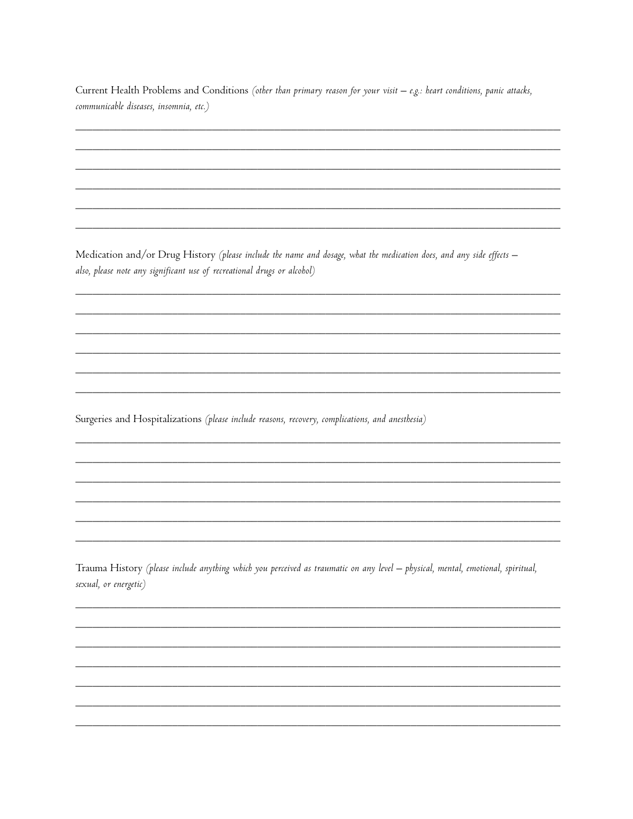| Current Health Problems and Conditions (other than primary reason for your visit – e.g.: heart conditions, panic attacks, |  |  |
|---------------------------------------------------------------------------------------------------------------------------|--|--|
| communicable diseases, insomnia, etc.)                                                                                    |  |  |

Medication and/or Drug History (please include the name and dosage, what the medication does, and any side effects also, please note any significant use of recreational drugs or alcohol)

Surgeries and Hospitalizations (please include reasons, recovery, complications, and anesthesia)

Trauma History (please include anything which you perceived as traumatic on any level - physical, mental, emotional, spiritual, sexual, or energetic)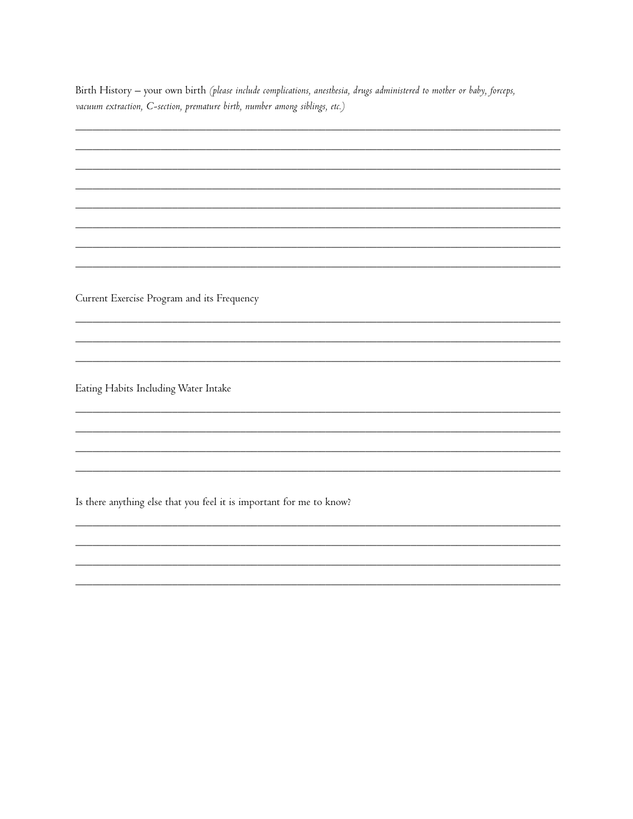Birth History - your own birth (please include complications, anesthesia, drugs administered to mother or baby, forceps, vacuum extraction, C-section, premature birth, number among siblings, etc.)

Current Exercise Program and its Frequency

Eating Habits Including Water Intake

Is there anything else that you feel it is important for me to know?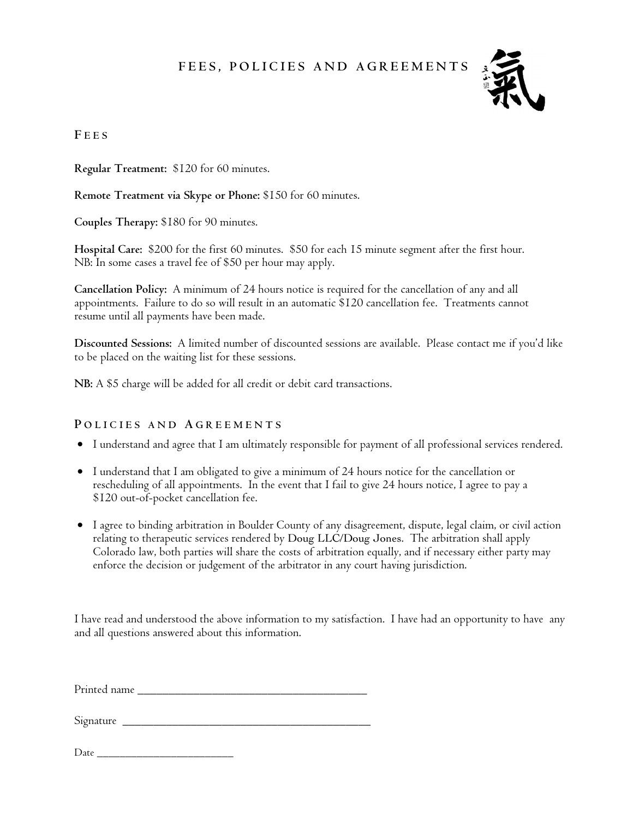# **FEES, POLICIES AND AGREEMENTS**



## **F EES**

**Regular Treatment:** \$120 for 60 minutes.

**Remote Treatment via Skype or Phone:** \$150 for 60 minutes.

**Couples Therapy:** \$180 for 90 minutes.

**Hospital Care:** \$200 for the first 60 minutes. \$50 for each 15 minute segment after the first hour. NB: In some cases a travel fee of \$50 per hour may apply.

**Cancellation Policy:** A minimum of 24 hours notice is required for the cancellation of any and all appointments. Failure to do so will result in an automatic \$120 cancellation fee. Treatments cannot resume until all payments have been made.

**Discounted Sessions:** A limited number of discounted sessions are available. Please contact me if you'd like to be placed on the waiting list for these sessions.

**NB:** A \$5 charge will be added for all credit or debit card transactions.

## **P OLICIES AND A GREEMENTS**

- I understand and agree that I am ultimately responsible for payment of all professional services rendered.
- I understand that I am obligated to give a minimum of 24 hours notice for the cancellation or rescheduling of all appointments. In the event that I fail to give 24 hours notice, I agree to pay a \$120 out-of-pocket cancellation fee.
- I agree to binding arbitration in Boulder County of any disagreement, dispute, legal claim, or civil action relating to therapeutic services rendered by Doug LLC/Doug Jones. The arbitration shall apply Colorado law, both parties will share the costs of arbitration equally, and if necessary either party may enforce the decision or judgement of the arbitrator in any court having jurisdiction.

I have read and understood the above information to my satisfaction. I have had an opportunity to have any and all questions answered about this information.

Printed name

Signature \_\_\_\_\_\_\_\_\_\_\_\_\_\_\_\_\_\_\_\_\_\_\_\_\_\_\_\_\_\_\_\_\_\_\_\_\_\_\_\_

 $Date$   $\_$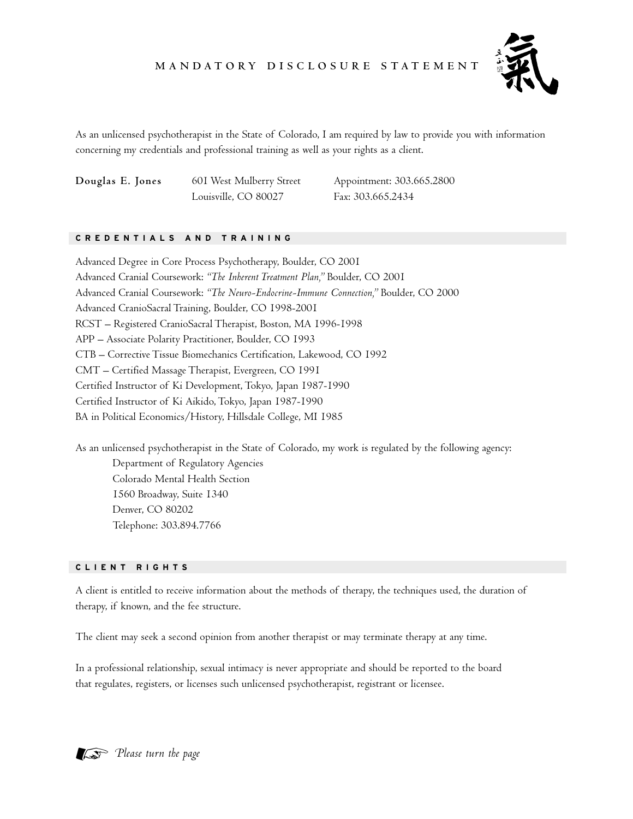## **M A N DATO RY D I S C LO S U R E S TAT E M E N T**



As an unlicensed psychotherapist in the State of Colorado, I am required by law to provide you with information concerning my credentials and professional training as well as your rights as a client.

Louisville, CO 80027 Fax: 303.665.2434

**Douglas E. Jones** 601 West Mulberry Street Appointment: 303.665.2800

#### **CREDENTIALS AND TRAINING**

Advanced Degree in Core Process Psychotherapy, Boulder, CO 2001 Advanced Cranial Coursework: *"The Inherent Treatment Plan,"* Boulder, CO 2001 Advanced Cranial Coursework: *"The Neuro-Endocrine-Immune Connection,"* Boulder, CO 2000 Advanced CranioSacral Training, Boulder, CO 1998-2001 RCST – Registered CranioSacral Therapist, Boston, MA 1996-1998 APP – Associate Polarity Practitioner, Boulder, CO 1993 CTB – Corrective Tissue Biomechanics Certification, Lakewood, CO 1992 CMT – Certified Massage Therapist, Evergreen, CO 1991 Certified Instructor of Ki Development, Tokyo, Japan 1987-1990 Certified Instructor of Ki Aikido, Tokyo, Japan 1987-1990 BA in Political Economics/History, Hillsdale College, MI 1985

As an unlicensed psychotherapist in the State of Colorado, my work is regulated by the following agency: Department of Regulatory Agencies Colorado Mental Health Section 1560 Broadway, Suite 1340 Denver, CO 80202 Telephone: 303.894.7766

#### **CLIENT RIGHTS**

A client is entitled to receive information about the methods of therapy, the techniques used, the duration of therapy, if known, and the fee structure.

The client may seek a second opinion from another therapist or may terminate therapy at any time.

In a professional relationship, sexual intimacy is never appropriate and should be reported to the board that regulates, registers, or licenses such unlicensed psychotherapist, registrant or licensee.

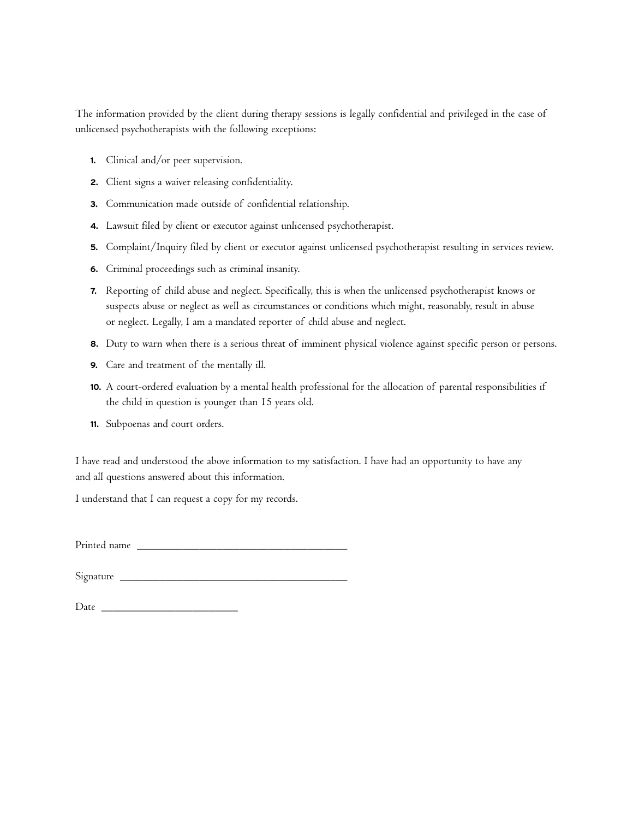The information provided by the client during therapy sessions is legally confidential and privileged in the case of unlicensed psychotherapists with the following exceptions:

- **1.** Clinical and/or peer supervision.
- **2.** Client signs a waiver releasing confidentiality.
- **3.** Communication made outside of confidential relationship.
- **4.** Lawsuit filed by client or executor against unlicensed psychotherapist.
- **5.** Complaint/Inquiry filed by client or executor against unlicensed psychotherapist resulting in services review.
- **6.** Criminal proceedings such as criminal insanity.
- **7.** Reporting of child abuse and neglect. Specifically, this is when the unlicensed psychotherapist knows or suspects abuse or neglect as well as circumstances or conditions which might, reasonably, result in abuse or neglect. Legally, I am a mandated reporter of child abuse and neglect.
- **8.** Duty to warn when there is a serious threat of imminent physical violence against specific person or persons.
- **9.** Care and treatment of the mentally ill.
- **10.** A court-ordered evaluation by a mental health professional for the allocation of parental responsibilities if the child in question is younger than 15 years old.
- **11.** Subpoenas and court orders.

I have read and understood the above information to my satisfaction. I have had an opportunity to have any and all questions answered about this information.

I understand that I can request a copy for my records.

Printed name \_\_\_\_\_\_\_\_\_\_\_\_\_\_\_\_\_\_\_\_\_\_\_\_\_\_\_\_\_\_\_\_\_\_\_\_\_

Signature \_\_\_\_\_\_\_\_\_\_\_\_\_\_\_\_\_\_\_\_\_\_\_\_\_\_\_\_\_\_\_\_\_\_\_\_\_\_\_\_

Date \_\_\_\_\_\_\_\_\_\_\_\_\_\_\_\_\_\_\_\_\_\_\_\_